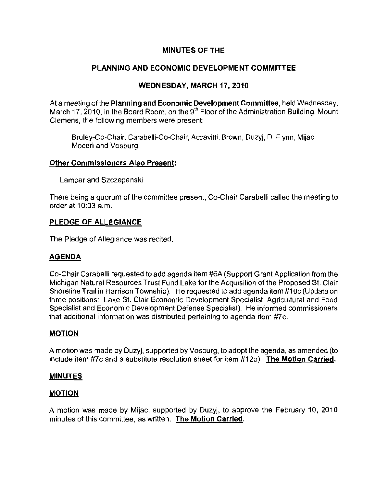## MINUTES OF THE

## PLANNING AND ECONOMIC DEVELOPMENT COMMITTEE

### WEDNESDAY, MARCH 17,2010

At a meeting of the Planning and Economic Development Committee, held Wednesday, March 17, 2010, in the Board Room, on the 9<sup>th</sup> Floor of the Administration Building, Mount **Clemens, the following members were present:** 

Bruley-Co-Chair, Carabelli-Co-Chair, Accavitti, Brown, Duzyj, D. Flynn, Mijac, **Moceri and Vosburg.** 

#### Other Commissioners Also Present:

Lampar and Szczepanski

There being a quorum of the committee present, Co-Chair Carabelli called the meeting to order at 10:03 a.m.

#### PLEDGE OF ALLEGIANCE

The Pledge of Allegiance was recited.

### **AGENDA**

Co-Chair Carabelli requested to add agenda item #6A (Support Grant Application from the Michigan Naturai Resources Trust Fund Lake for the Acquisition of the Proposed SI. Clair Shoreline Trail in Harrison Township). He requested to add agenda item #10c (Update on three positions: Lake St. Clair Economic Development Specialist, Agricultural and Food **Specialist and Economic Development Defense Specialist). He informed commissioners**  that additional information was distributed pertaining to agenda item #7c.

### MOTION

A motion was made by Duzyj, supported by Vosburg, to adopt the agenda, as amended (to include item #7c and a substitute resolution sheet for item #12b). The Motion Carried.

### **MINUTES**

#### MOTION

A motion was made by Mijac, supported by Duzyj, to approve the February 10, 2010 **minutes of this committee, as written. The Motion Carried.**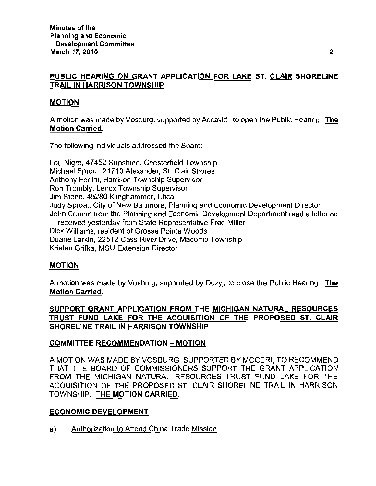## PUBLIC HEARING ON GRANT APPLICATION FOR LAKE ST. CLAIR SHORELINE TRAIL IN HARRISON TOWNSHIP

## MOTION

A motion was made by Vosburg, supported by Accavitti, to open the Public Hearing. The Motion Carried.

The following individuals addressed the Board:

Lou Nigro, 47452 Sunshine, Chesterfield Township Michael Sproul, 21710 Alexander, St. Clair Shores **Anthony Forlini, Harrison Township Supervisor**  Ron Trombly, Lenox Township Supervisor Jim Stone, 45280 Klinghammer, Utica Judy Sproat, City of New Baltimore, Planning and Economic Development Director John Crumm from the Planning and Economic Development Department read a letter he received yesterday from State Representative Fred Miller Dick Williams, resident of Grosse Pointe Woods

Duane Larkin, 22512 Cass River Drive, Macomb Township

Kristen Grifka, MSU Extension Director

### MOTION

A motion was made by Vosburg, supported by Duzyj, to close the Public Hearing. The **Motion Carried.** 

SUPPORT GRANT APPLICATION FROM THE MICHIGAN NATURAL RESOURCES TRUST FUND LAKE FOR THE ACQUISITION OF THE PROPOSED ST. CLAIR SHORELINE TRAIL IN HARRISON TOWNSHIP

# COMMITTEE RECOMMENDATION - MOTION

A MOTION WAS MADE BY VOSBURG, SUPPORTED BY MOCERI, TO RECOMMEND THAT THE BOARD OF COMMISSIONERS SUPPORT THE GRANT APPLICATION FROM THE MICHIGAN NATURAL RESOURCES TRUST FUND LAKE FOR THE ACQUISITION OF THE PROPOSED ST. CLAIR SHORELINE TRAIL IN HARRISON TOWNSHIP. THE MOTION CARRIED.

### ECONOMIC DEVELOPMENT

a) Authorization to Attend China Trade Mission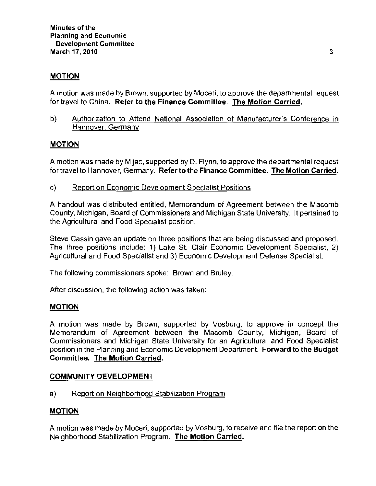## MOTION

A motion was made by Brown, supported by Moceri, to approve the departmental request for travel to China. Refer to the Finance Committee. The Motion Carried,

b) Authorization to Attend National Association of Manufacturer's Conference in Hannover. Germany

### MOTION

A motion was made by Mijac, supported by D. Flynn, to approve the departmental request for travel to Hannover. Germany. Refer to **the Finance Committee. The Motion Carried.** 

c) Report on Economic Development Specialist Positions

A handout was distributed entitled, Memorandum of Agreement between the Macomb County, Michigan, Board of Commissioners and Michigan State University. It pertained to the Agricultural and Food Specialist position.

Steve Cassin gave an update on three positions that are being discussed and proposed. The three positions include: 1) Lake St. Clair Economic Development Specialist; 2) Agricultural and Food Specialist and 3) Economic Development Defense Specialist.

The following commissioners spoke: Brown and Bruley.

After discussion, the following action was taken:

#### MOTION

A motion was made by Brown, supported by Vosburg, to approve in concept the Memorandum of Agreement between the Macomb County, Michigan, Board of Commissioners and Michigan State University for an Agricultural and Food Specialist position in the Planning and Economic Development Department. Forward to the Budget Committee. The Motion Carried.

#### COMMUNITY DEVELOPMENT

a) Report on Neighborhood Stabilization Program

#### **MOTION**

A motion was made by Moceri, supported by Vosburg, to receive and file the report on the Neighborhood Stabilization Program. The Motion Carried.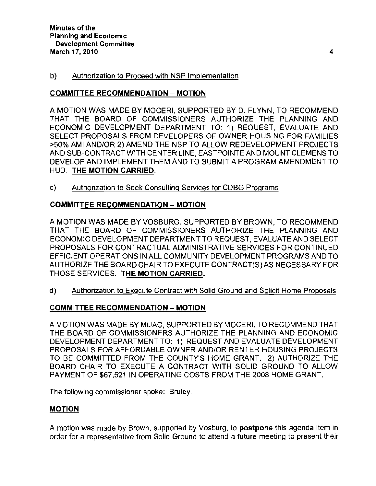### b) Authorization to Proceed with NSP Implementation

### COMMITTEE RECOMMENDATION - MOTION

A MOTION WAS MADE BY MOCERI, SUPPORTED BY D. FLYNN, TO RECOMMEND THAT THE BOARD OF COMMISSIONERS AUTHORIZE THE PLANNING AND ECONOMIC DEVELOPMENT DEPARTMENT TO: 1) REQUEST, EVALUATE AND SELECT PROPOSALS FROM DEVELOPERS OF OWNER HOUSING FOR FAMILIES >50% AMI ANDIOR 2) AMEND THE NSP TO ALLOW REDEVELOPMENT PROJECTS AND SUB-CONTRACT WITH CENTER LINE, EASTPOINTE AND MOUNT CLEMENS TO DEVELOP AND IMPLEMENT THEM AND TO SUBMIT A PROGRAM AMENDMENT TO HUD. THE MOTION CARRIED.

c) Authorization to Seek Consulting Services for CDBG Programs

## COMMITTEE RECOMMENDATION - MOTION

A MOTION WAS MADE BY VOSBURG, SUPPORTED BY BROWN, TO RECOMMEND THAT THE BOARD OF COMMISSIONERS AUTHORIZE THE PLANNING AND ECONOMIC DEVELOPMENT DEPARTMENT TO REQUEST, EVALUATE AND SELECT PROPOSALS FOR CONTRACTUAL ADMINISTRATIVE SERVICES FOR CONTINUED EFFICIENT OPERATIONS IN ALL COMMUNITY DEVELOPMENT PROGRAMS AND TO AUTHORIZE THE BOARD CHAIR TO EXECUTE CONTRACT(S) AS NECESSARY FOR THOSE SERVICES. THE MOTION CARRIED.

d) Authorization to Execute Contract with Solid Ground and Solicit Home Proposals

# COMMITTEE RECOMMENDATION - MOTION

A MOTION WAS MADE BY MIJAC, SUPPORTED BY MOCERI, TO RECOMMEND THAT THE BOARD OF COMMISSIONERS AUTHORIZE THE PLANNING AND ECONOMIC DEVELOPMENT DEPARTMENT TO: 1) REQUEST AND EVALUATE DEVELOPMENT PROPOSALS FOR AFFORDABLE OWNER ANDIOR RENTER HOUSING PROJECTS TO BE COMMITTED FROM THE COUNTY'S HOME GRANT. 2) AUTHORIZE THE BOARD CHAIR TO EXECUTE A CONTRACT WITH SOLID GROUND TO ALLOW PAYMENT OF \$67,521 IN OPERATING COSTS FROM THE 2008 HOME GRANT.

**The following commissioner spoke: Bruley.** 

### MOTION

A motion was made by Brown, supported by Vosburg, to postpone this agenda item in **order for a representative from Solid Ground to attend a future meeting to present their**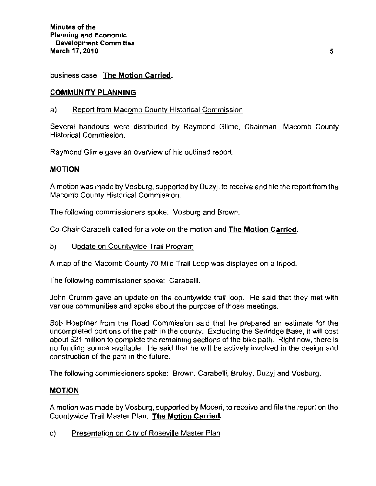**business case. The Motion Carried.** 

#### **COMMUNITY PLANNING**

#### a) Report from Macomb County Historical Commission

Several handouts were distributed by Raymond Glime, Chairman, Macomb County **Historical Commission.** 

Raymond Glime gave an overview of his outlined report.

#### **MOTION**

A motion was made by Vosburg, supported by Duzyj, to receive and file the report from the **Macomb County Historical Commission.** 

**The following commissioners spoke: Vosburg and Brown.** 

Co-Chair Carabelli called for a vote on the motion and The Motion Carried.

b) Update on Countywide Trail Program

A map of the Macomb County 70 Mile Trail Loop was displayed on a tripod.

The following commissioner spoke: Carabelli.

John Crumm gave an update on the countywide trail loop. He said that they met with **various communities and spoke about the purpose of those meetings.** 

Bob Hoepfner from the Road Commission said that he prepared an estimate for the uncompleted portions of the path in the county. Excluding the Selfridge Base, it will cost about \$21 million to complete the remaining sections of the bike path. Right now, there is no funding source available. He said that he will be actively involved in the design and construction of the path in the future.

The following commissioners spoke: Brown, Carabelli, Bruley, Duzyj and Vosburg.

### **MOTION**

A motion was made by Vosburg, supported by Moceri, to receive and file the report on the Countywide Trail Master Plan. **The** Motion Carried,

c) Presentation on City of Roseville Master Plan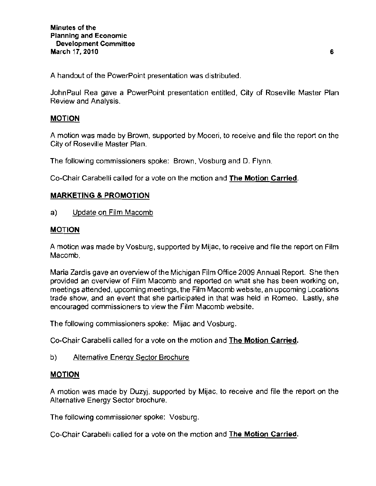A handout of the PowerPoint presentation was distributed.

JohnPaul Rea gave a PowerPoint presentation entitled, City of Roseville Master Plan **Review and Analysis.** 

#### MOTION

A motion was made by Brown, supported by Moceri, to receive and file the report on the City of Roseville Master Plan.

The following commissioners spoke: Brown. Vosburg and D. Flynn.

Co-Chair Carabelli called for a vote on the motion and The Motion Carried.

### MARKETING & PROMOTION

a) Update on Film Macomb

#### MOTION

A motion was made by Vosburg, supported by Mijac, to receive and file the report on Film Macomb.

Maria Zardis gave an overview of the Michigan Film Office 2009 Annuai Report. She then provided an overview of Film Macomb and reported on what she has been working on, meetings attended, upcoming meetings, the Film Macomb website, an upcoming Locations trade show, and an event that she participated in that was heid in Romeo. Lastly, she **encouraged commissioners to view the Film Macomb website.** 

The following commissioners spoke: Mijac and Vosburg.

Co-Chair Carabelli called for a vote on the motion and The Motion Carried.

b) Alternative Energy Sector Brochure

#### MOTION

A motion was made by Duzyj, supported by Mijac, to receive and file the report on the Alternative Energy Sector brochure.

The following commissioner spoke: Vosburg.

Co-Chair Carabelli called for a vote on the motion and The Motion Carried.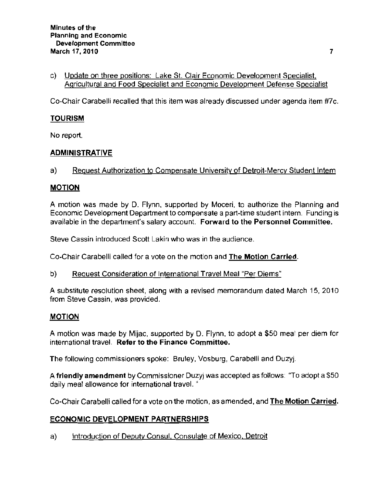c) Update on three positions: Lake St. Clair Economic Development Specialist, Agricultural and Food Specialist and Economic Development Defense Specialist

Co-Chair Carabelli recalled that this item was already discussed under agenda item #7c.

### TOURISM

No report.

## ADMINISTRATIVE

a) <u>Reguest Authorization to Compensate University of Detroit-Mercy Student Intern</u>

## MOTION

A motion was made by D, Flynn, supported by Moceri, to authorize the Planning and Economic Development Department to compensate a part-time student intern. Funding is available in the department's salary account. Forward to the Personnel Committee.

Steve Cassin introduced Scott Lakin who was in the audience.

Co-Chair Carabelli called for a vote on the motion and The Motion Carried.

b) Reguest Consideration of International Travel Meal "Per Diems"

A substitute resolution sheet, along with a revised memorandum dated March 15,2010 from Steve Cassin, was provided.

### MOTION

A motion was made by Mijac, supported by D, Flynn, to adopt a \$50 meal per diem for international travel. **Refer to the Finance Committee.** 

The following commissioners spoke: Bruley, Vosburg, Carabelli and Duzyj.

A friendly amendment by Commissioner Duzyj was accepted as follows: "To adopt a \$50 daily mea! allowance for international travel. "

Co-Chair Carabelli called for a vote on the motion, as amended, and The Motion Carried,

### ECONOMIC DEVELOPMENT PARTNERSHIPS

a) Introduction of Deputy Consul, Consulate of Mexico, Detroit